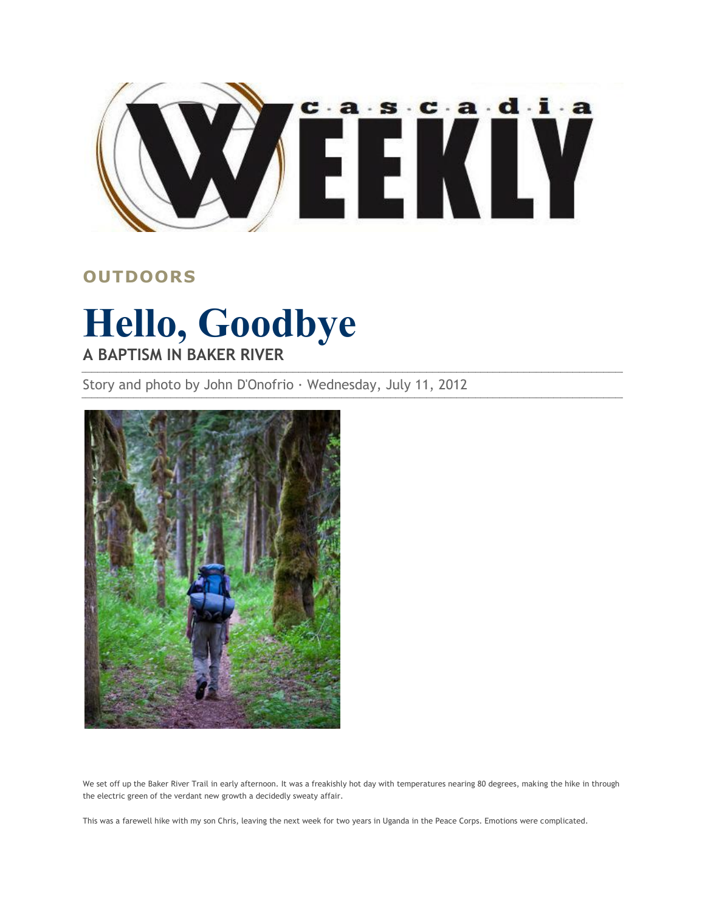

## **OUTDOORS**

## **Hello, Goodbye A BAPTISM IN BAKER RIVER**

Story and photo by John D'Onofrio · Wednesday, July 11, 2012



We set off up the Baker River Trail in early afternoon. It was a freakishly hot day with temperatures nearing 80 degrees, making the hike in through the electric green of the verdant new growth a decidedly sweaty affair.

This was a farewell hike with my son Chris, leaving the next week for two years in Uganda in the Peace Corps. Emotions were complicated.